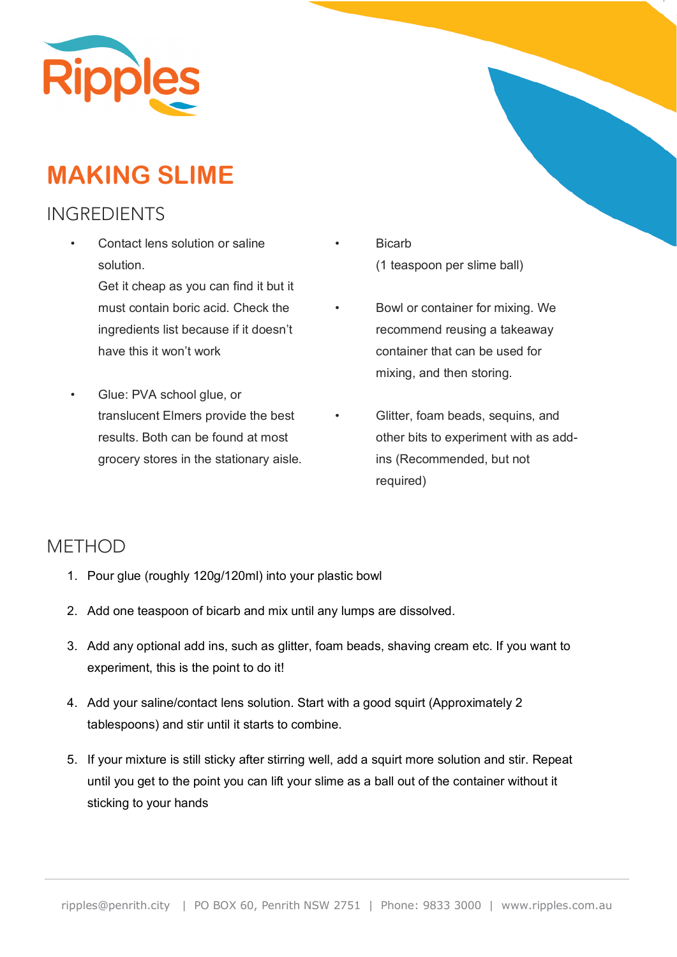

## **MAKING SLIME**

## INGREDIENTS

Contact lens solution or saline solution.

> Get it cheap as you can find it but it must contain boric acid. Check the ingredients list because if it doesn't have this it won't work

• Glue: PVA school glue, or translucent Elmers provide the best results. Both can be found at most grocery stores in the stationary aisle.

- **Bicarb** (1 teaspoon per slime ball)
- Bowl or container for mixing. We recommend reusing a takeaway container that can be used for mixing, and then storing.
- Glitter, foam beads, sequins, and other bits to experiment with as addins (Recommended, but not required)

## **METHOD**

- 1. Pour glue (roughly 120g/120ml) into your plastic bowl
- 2. Add one teaspoon of bicarb and mix until any lumps are dissolved.
- 3. Add any optional add ins, such as glitter, foam beads, shaving cream etc. If you want to experiment, this is the point to do it!
- 4. Add your saline/contact lens solution. Start with a good squirt (Approximately 2 tablespoons) and stir until it starts to combine.
- 5. If your mixture is still sticky after stirring well, add a squirt more solution and stir. Repeat until you get to the point you can lift your slime as a ball out of the container without it sticking to your hands